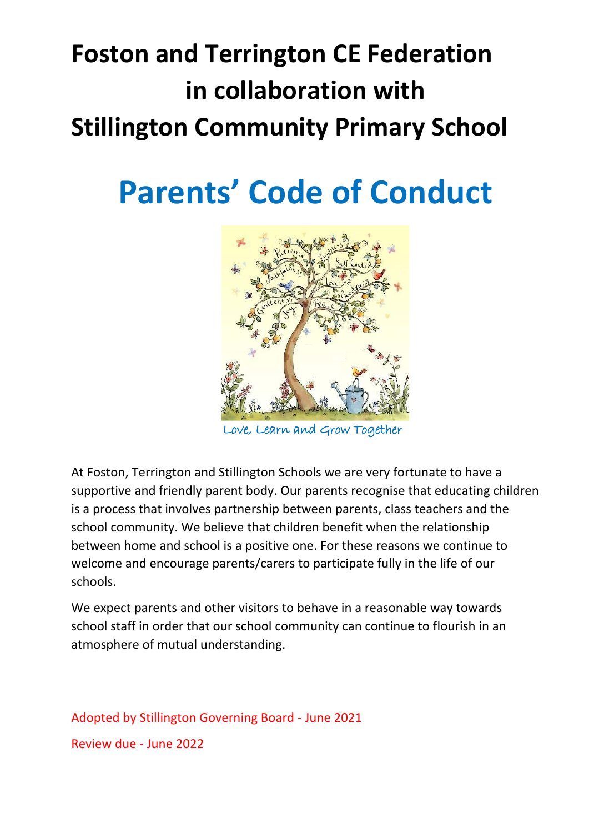# **Foston and Terrington CE Federation in collaboration with Stillington Community Primary School**

# **Parents' Code of Conduct**



ove, Learn and Grow Together

At Foston, Terrington and Stillington Schools we are very fortunate to have a supportive and friendly parent body. Our parents recognise that educating children is a process that involves partnership between parents, class teachers and the school community. We believe that children benefit when the relationship between home and school is a positive one. For these reasons we continue to welcome and encourage parents/carers to participate fully in the life of our schools.

We expect parents and other visitors to behave in a reasonable way towards school staff in order that our school community can continue to flourish in an atmosphere of mutual understanding.

Adopted by Stillington Governing Board - June 2021 Review due - June 2022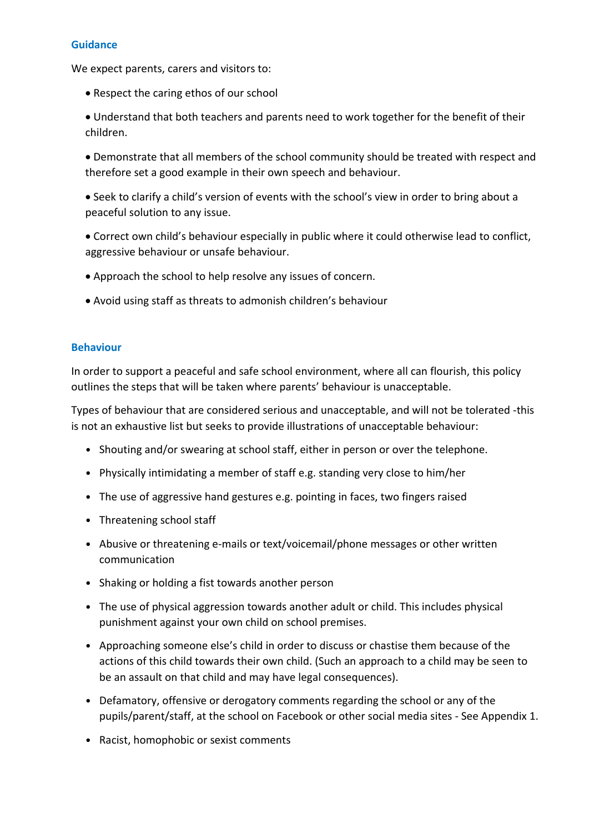## **Guidance**

We expect parents, carers and visitors to:

- Respect the caring ethos of our school
- Understand that both teachers and parents need to work together for the benefit of their children.
- Demonstrate that all members of the school community should be treated with respect and therefore set a good example in their own speech and behaviour.
- Seek to clarify a child's version of events with the school's view in order to bring about a peaceful solution to any issue.
- Correct own child's behaviour especially in public where it could otherwise lead to conflict, aggressive behaviour or unsafe behaviour.
- Approach the school to help resolve any issues of concern.
- Avoid using staff as threats to admonish children's behaviour

#### **Behaviour**

In order to support a peaceful and safe school environment, where all can flourish, this policy outlines the steps that will be taken where parents' behaviour is unacceptable.

Types of behaviour that are considered serious and unacceptable, and will not be tolerated -this is not an exhaustive list but seeks to provide illustrations of unacceptable behaviour:

- Shouting and/or swearing at school staff, either in person or over the telephone.
- Physically intimidating a member of staff e.g. standing very close to him/her
- The use of aggressive hand gestures e.g. pointing in faces, two fingers raised
- Threatening school staff
- Abusive or threatening e-mails or text/voicemail/phone messages or other written communication
- Shaking or holding a fist towards another person
- The use of physical aggression towards another adult or child. This includes physical punishment against your own child on school premises.
- Approaching someone else's child in order to discuss or chastise them because of the actions of this child towards their own child. (Such an approach to a child may be seen to be an assault on that child and may have legal consequences).
- Defamatory, offensive or derogatory comments regarding the school or any of the pupils/parent/staff, at the school on Facebook or other social media sites - See Appendix 1.
- Racist, homophobic or sexist comments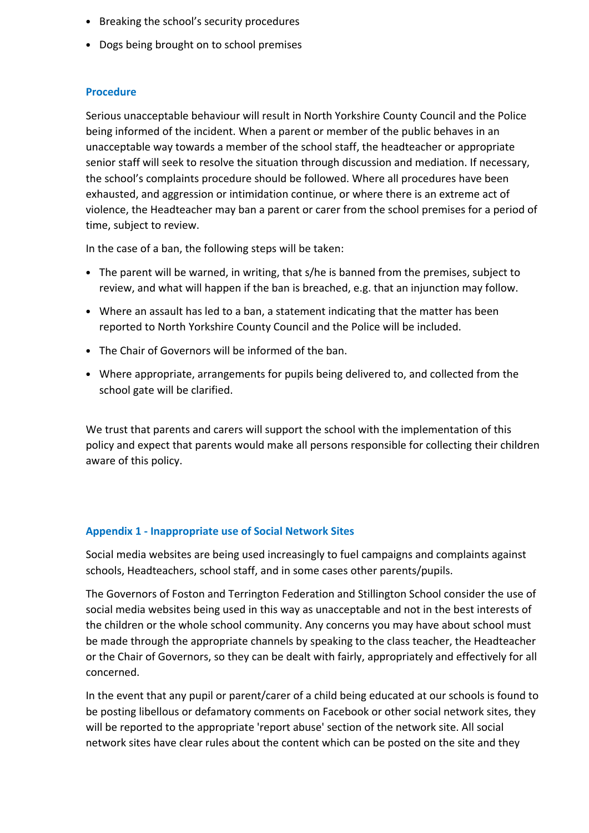- Breaking the school's security procedures
- Dogs being brought on to school premises

#### **Procedure**

Serious unacceptable behaviour will result in North Yorkshire County Council and the Police being informed of the incident. When a parent or member of the public behaves in an unacceptable way towards a member of the school staff, the headteacher or appropriate senior staff will seek to resolve the situation through discussion and mediation. If necessary, the school's complaints procedure should be followed. Where all procedures have been exhausted, and aggression or intimidation continue, or where there is an extreme act of violence, the Headteacher may ban a parent or carer from the school premises for a period of time, subject to review.

In the case of a ban, the following steps will be taken:

- The parent will be warned, in writing, that s/he is banned from the premises, subject to review, and what will happen if the ban is breached, e.g. that an injunction may follow.
- Where an assault has led to a ban, a statement indicating that the matter has been reported to North Yorkshire County Council and the Police will be included.
- The Chair of Governors will be informed of the ban.
- Where appropriate, arrangements for pupils being delivered to, and collected from the school gate will be clarified.

We trust that parents and carers will support the school with the implementation of this policy and expect that parents would make all persons responsible for collecting their children aware of this policy.

## **Appendix 1 - Inappropriate use of Social Network Sites**

Social media websites are being used increasingly to fuel campaigns and complaints against schools, Headteachers, school staff, and in some cases other parents/pupils.

The Governors of Foston and Terrington Federation and Stillington School consider the use of social media websites being used in this way as unacceptable and not in the best interests of the children or the whole school community. Any concerns you may have about school must be made through the appropriate channels by speaking to the class teacher, the Headteacher or the Chair of Governors, so they can be dealt with fairly, appropriately and effectively for all concerned.

In the event that any pupil or parent/carer of a child being educated at our schools is found to be posting libellous or defamatory comments on Facebook or other social network sites, they will be reported to the appropriate 'report abuse' section of the network site. All social network sites have clear rules about the content which can be posted on the site and they